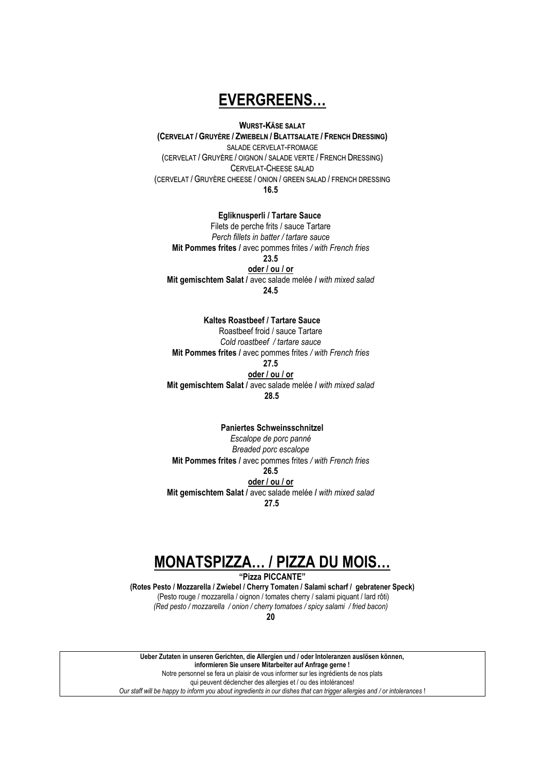### **EVERGREENS...**

#### **WURST-KÄSE SALAT**

(CERVELAT / GRUYÉRE / ZWIEBELN / BLATTSALATE / FRENCH DRESSING) SALADE CERVELAT-FROMAGE (CERVELAT / GRUYÈRE / OIGNON / SALADE VERTE / FRENCH DRESSING) CERVELAT-CHEESE SALAD (CERVELAT / GRUYÈRE CHEESE / ONION / GREEN SALAD / FRENCH DRESSING  $16.5$ 

#### Egliknusperli / Tartare Sauce

Filets de perche frits / sauce Tartare Perch fillets in batter / tartare sauce Mit Pommes frites / avec pommes frites / with French fries 23.5 oder / ou / or Mit gemischtem Salat / avec salade melée / with mixed salad 24.5

#### Kaltes Roastbeef / Tartare Sauce

Roastbeef froid / sauce Tartare Cold roastbeef / tartare sauce Mit Pommes frites / avec pommes frites / with French fries 27.5 oder / ou / or Mit gemischtem Salat / avec salade melée / with mixed salad 28.5

#### **Paniertes Schweinsschnitzel**

Escalope de porc panné Breaded porc escalope Mit Pommes frites / avec pommes frites / with French fries 26.5 oder / ou / or Mit gemischtem Salat / avec salade melée / with mixed salad 27.5

### **MONATSPIZZA... / PIZZA DU MOIS...**

"Pizza PICCANTE"

(Rotes Pesto / Mozzarella / Zwiebel / Cherry Tomaten / Salami scharf / gebratener Speck) (Pesto rouge / mozzarella / oignon / tomates cherry / salami piquant / lard rôti) (Red pesto / mozzarella / onion / cherry tomatoes / spicy salami / fried bacon)

20

Ueber Zutaten in unseren Gerichten, die Allergien und / oder Intoleranzen auslösen können, informieren Sie unsere Mitarbeiter auf Anfrage gerne ! Notre personnel se fera un plaisir de vous informer sur les ingrédients de nos plats qui peuvent déclencher des allergies et / ou des intolérances! Our staff will be happy to inform you about ingredients in our dishes that can trigger allergies and / or intolerances !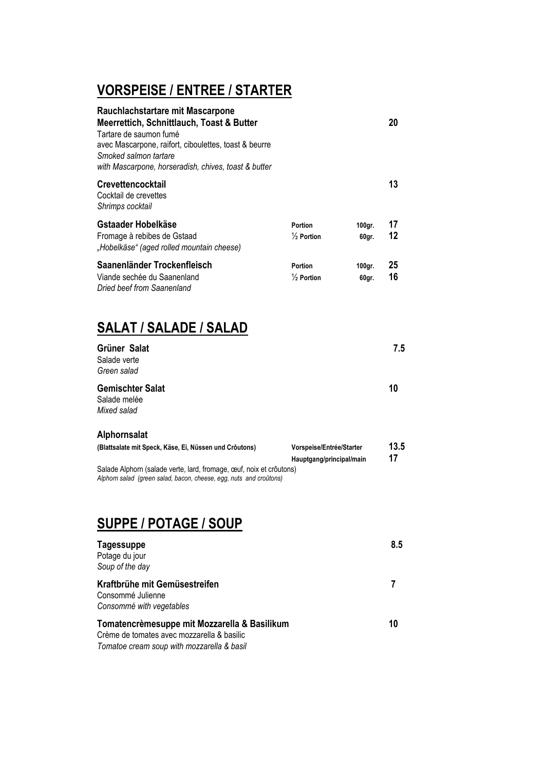# **VORSPEISE / ENTREE / STARTER**

| Rauchlachstartare mit Mascarpone<br>Meerrettich, Schnittlauch, Toast & Butter<br>Tartare de saumon fumé<br>avec Mascarpone, raifort, ciboulettes, toast & beurre<br>Smoked salmon tartare<br>with Mascarpone, horseradish, chives, toast & butter |                                                      |                 | 20         |
|---------------------------------------------------------------------------------------------------------------------------------------------------------------------------------------------------------------------------------------------------|------------------------------------------------------|-----------------|------------|
| <b>Crevettencocktail</b><br>Cocktail de crevettes<br>Shrimps cocktail                                                                                                                                                                             |                                                      |                 | 13         |
| Gstaader Hobelkäse<br>Fromage à rebibes de Gstaad<br>"Hobelkäse" (aged rolled mountain cheese)                                                                                                                                                    | <b>Portion</b><br>$\frac{1}{2}$ Portion              | 100gr.<br>60gr. | 17<br>12   |
| Saanenländer Trockenfleisch<br>Viande sechée du Saanenland<br>Dried beef from Saanenland                                                                                                                                                          | <b>Portion</b><br>$\frac{1}{2}$ Portion              | 100gr.<br>60gr. | 25<br>16   |
| <b>SALAT / SALADE / SALAD</b>                                                                                                                                                                                                                     |                                                      |                 |            |
| Grüner Salat<br>Salade verte<br>Green salad                                                                                                                                                                                                       |                                                      |                 | 7.5        |
| <b>Gemischter Salat</b><br>Salade melée<br>Mixed salad                                                                                                                                                                                            |                                                      |                 | 10         |
| Alphornsalat                                                                                                                                                                                                                                      |                                                      |                 |            |
| (Blattsalate mit Speck, Käse, Ei, Nüssen und Crôutons)<br>Salade Alphorn (salade verte, lard, fromage, œuf, noix et crôutons)<br>Alphorn salad (green salad, bacon, cheese, egg, nuts and croûtons)                                               | Vorspeise/Entrée/Starter<br>Hauptgang/principal/main |                 | 13.5<br>17 |
|                                                                                                                                                                                                                                                   |                                                      |                 |            |

### **SUPPE / POTAGE / SOUP**

| <b>Tagessuppe</b><br>Potage du jour<br>Soup of the day                                     | 8.5 |
|--------------------------------------------------------------------------------------------|-----|
| Kraftbrühe mit Gemüsestreifen<br>Consommé Julienne<br>Consommé with vegetables             |     |
| Tomatencrèmesuppe mit Mozzarella & Basilikum<br>Crème de tomates avec mozzarella & basilic | 10  |

*Tomatoe cream soup with mozzarella & basil*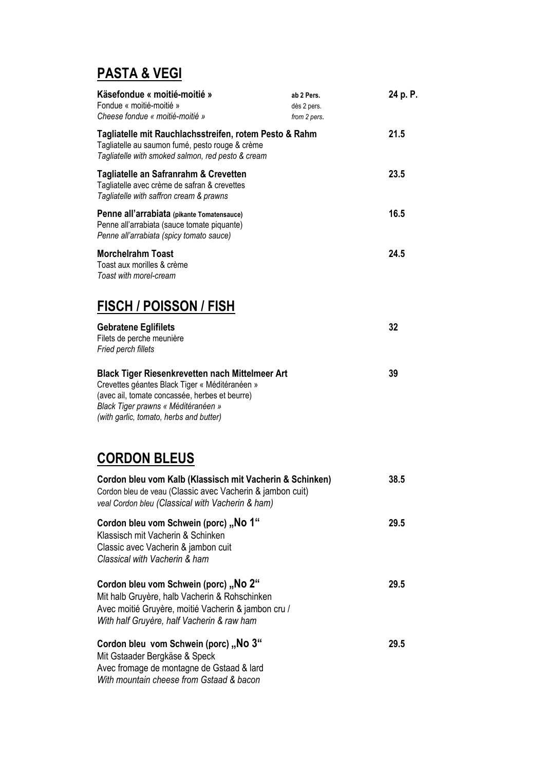# **PASTA & VEGI**

| Käsefondue « moitié-moitié »<br>Fondue « moitié-moitié »<br>Cheese fondue « moitié-moitié »                                                                                                                                                  | ab 2 Pers.<br>dès 2 pers.<br>from 2 pers. | 24 p. P. |
|----------------------------------------------------------------------------------------------------------------------------------------------------------------------------------------------------------------------------------------------|-------------------------------------------|----------|
| Tagliatelle mit Rauchlachsstreifen, rotem Pesto & Rahm<br>Tagliatelle au saumon fumé, pesto rouge & crème<br>Tagliatelle with smoked salmon, red pesto & cream                                                                               |                                           | 21.5     |
| Tagliatelle an Safranrahm & Crevetten<br>Tagliatelle avec crème de safran & crevettes<br>Tagliatelle with saffron cream & prawns                                                                                                             |                                           | 23.5     |
| Penne all'arrabiata (pikante Tomatensauce)<br>Penne all'arrabiata (sauce tomate piquante)<br>Penne all'arrabiata (spicy tomato sauce)                                                                                                        |                                           | 16.5     |
| <b>Morchelrahm Toast</b><br>Toast aux morilles & crème<br>Toast with morel-cream                                                                                                                                                             |                                           | 24.5     |
| <b>FISCH / POISSON / FISH</b>                                                                                                                                                                                                                |                                           |          |
| <b>Gebratene Eglifilets</b><br>Filets de perche meunière<br>Fried perch fillets                                                                                                                                                              |                                           | 32       |
| <b>Black Tiger Riesenkrevetten nach Mittelmeer Art</b><br>Crevettes géantes Black Tiger « Méditéranéen »<br>(avec ail, tomate concassée, herbes et beurre)<br>Black Tiger prawns « Méditéranéen »<br>(with garlic, tomato, herbs and butter) |                                           | 39       |
| <b>CORDON BLEUS</b>                                                                                                                                                                                                                          |                                           |          |
| Cordon bleu vom Kalb (Klassisch mit Vacherin & Schinken)<br>Cordon bleu de veau (Classic avec Vacherin & jambon cuit)<br>veal Cordon bleu (Classical with Vacherin & ham)                                                                    |                                           | 38.5     |
| Cordon bleu vom Schwein (porc) "No 1"<br>Klassisch mit Vacherin & Schinken<br>Classic avec Vacherin & jambon cuit<br>Classical with Vacherin & ham                                                                                           |                                           | 29.5     |
| Cordon bleu vom Schwein (porc) "No 2"<br>Mit halb Gruyère, halb Vacherin & Rohschinken<br>Avec moitié Gruyère, moitié Vacherin & jambon cru /<br>With half Gruyère, half Vacherin & raw ham                                                  |                                           | 29.5     |
| Cordon bleu vom Schwein (porc) "No 3"<br>Mit Gstaader Bergkäse & Speck<br>Avec fromage de montagne de Gstaad & lard<br>With mountain cheese from Gstaad & bacon                                                                              |                                           | 29.5     |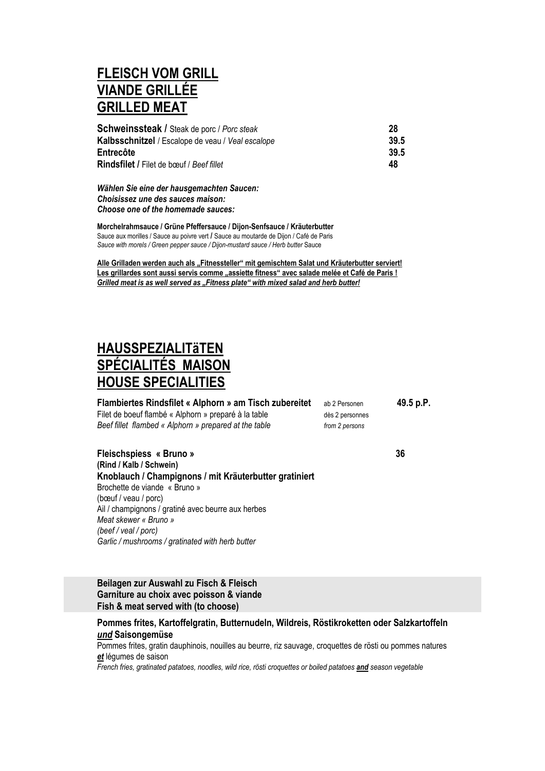### **FLEISCH VOM GRILL VIANDE GRILLÉE GRILLED MEAT**

| <b>Schweinssteak / Steak de porc / Porc steak</b> | 28   |
|---------------------------------------------------|------|
| Kalbsschnitzel / Escalope de veau / Veal escalope | 39.5 |
| Entrecôte                                         | 39.5 |
| <b>Rindsfilet / Filet de bœuf / Beef fillet</b>   | 48   |

*Wählen Sie eine der hausgemachten Saucen: Choisissez une des sauces maison: Choose one of the homemade sauces:*

**Morchelrahmsauce / Grüne Pfeffersauce / Dijon-Senfsauce / Kräuterbutter** Sauce aux morilles / Sauce au poivre vert **/** Sauce au moutarde de Dijon / Café de Paris *Sauce with morels / Green pepper sauce / Dijon-mustard sauce / Herb butter* Sauce

Alle Grilladen werden auch als "Fitnessteller" mit gemischtem Salat und Kräuterbutter serviert! Les grillardes sont aussi servis comme "assiette fitness" avec salade melée et Café de Paris ! *Grilled meat is as well served as "Fitness plate" with mixed salad and herb butter!* 

### **HAUSSPEZIALITäTEN SPÉCIALITÉS MAISON HOUSE SPECIALITIES**

| Flambiertes Rindsfilet « Alphorn » am Tisch zubereitet | ab 2 Personen   | 49.5 p.P. |
|--------------------------------------------------------|-----------------|-----------|
| Filet de boeuf flambé « Alphorn » preparé à la table   | dès 2 personnes |           |
| Beef fillet flambed « Alphorn » prepared at the table  | from 2 persons  |           |

**Fleischspiess « Bruno » 36 (Rind / Kalb / Schwein) Knoblauch / Champignons / mit Kräuterbutter gratiniert** Brochette de viande « Bruno » (bœuf / veau / porc) Ail / champignons / gratiné avec beurre aux herbes *Meat skewer « Bruno » (beef / veal / porc) Garlic / mushrooms / gratinated with herb butter*

**Beilagen zur Auswahl zu Fisch & Fleisch Garniture au choix avec poisson & viande Fish & meat served with (to choose)**

**Pommes frites, Kartoffelgratin, Butternudeln, Wildreis, Röstikroketten oder Salzkartoffeln**  *und* **Saisongemüse**

Pommes frites, gratin dauphinois, nouilles au beurre, riz sauvage, croquettes de rösti ou pommes natures *et* légumes de saison

*French fries, gratinated patatoes, noodles, wild rice, rösti croquettes or boiled patatoes and season vegetable*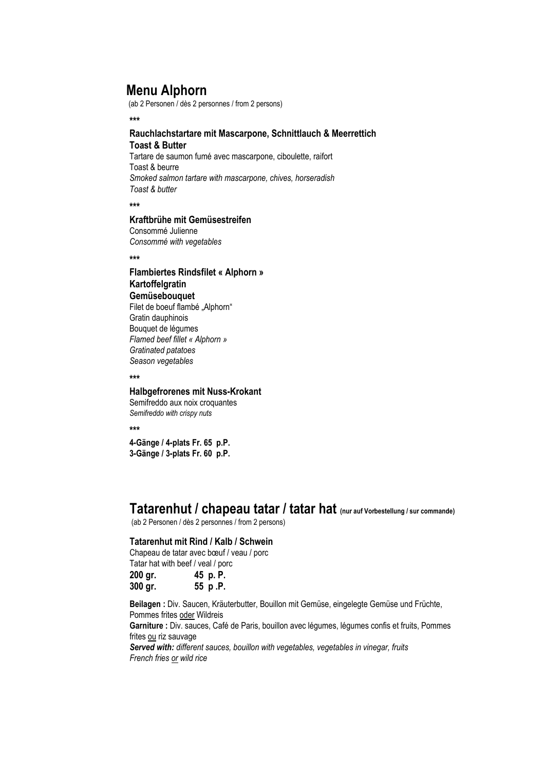### **Menu Alphorn**

(ab 2 Personen / dès 2 personnes / from 2 persons)

**\*\*\***

#### **Rauchlachstartare mit Mascarpone, Schnittlauch & Meerrettich Toast & Butter**

Tartare de saumon fumé avec mascarpone, ciboulette, raifort Toast & beurre *Smoked salmon tartare with mascarpone, chives, horseradish Toast & butter*

**\*\*\***

### **Kraftbrühe mit Gemüsestreifen**

Consommé Julienne *Consommé with vegetables*

**\*\*\***

#### **Flambiertes Rindsfilet « Alphorn » Kartoffelgratin Gemüsebouquet** Filet de boeuf flambé "Alphorn"

Gratin dauphinois Bouquet de légumes *Flamed beef fillet « Alphorn » Gratinated patatoes Season vegetables*

**\*\*\***

#### **Halbgefrorenes mit Nuss-Krokant**

Semifreddo aux noix croquantes *Semifreddo with crispy nuts*

**\*\*\***

**4-Gänge / 4-plats Fr. 65 p.P. 3-Gänge / 3-plats Fr. 60 p.P.**

### **Tatarenhut / chapeau tatar / tatar hat (nur auf Vorbestellung / sur commande)**

(ab 2 Personen / dès 2 personnes / from 2 persons)

### **Tatarenhut mit Rind / Kalb / Schwein**

Chapeau de tatar avec bœuf / veau / porc Tatar hat with beef / veal / porc **200 gr. 45 p. P.**

**300 gr. 55 p .P.**

**Beilagen :** Div. Saucen, Kräuterbutter, Bouillon mit Gemüse, eingelegte Gemüse und Früchte, Pommes frites oder Wildreis

**Garniture :** Div. sauces, Café de Paris, bouillon avec légumes, légumes confis et fruits, Pommes frites ou riz sauvage

*Served with: different sauces, bouillon with vegetables, vegetables in vinegar, fruits French fries or wild rice*